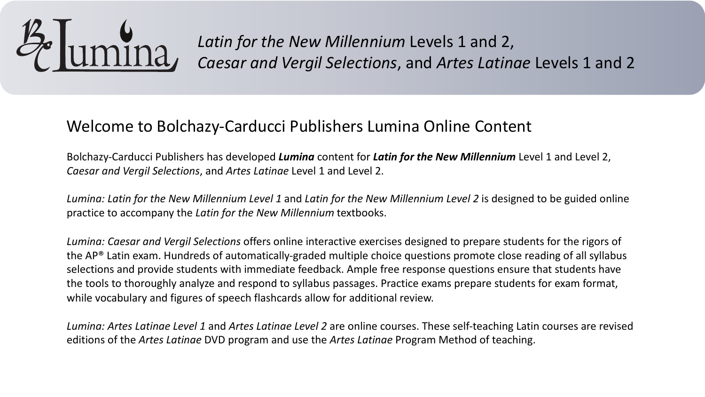

*Latin for the New Millennium* Levels 1 and 2, *Caesar and Vergil Selections*, and *Artes Latinae* Levels 1 and 2

## Welcome to Bolchazy-Carducci Publishers Lumina Online Content

Bolchazy-Carducci Publishers has developed *Lumina* content for *Latin for the New Millennium* Level 1 and Level 2, *Caesar and Vergil Selections*, and *Artes Latinae* Level 1 and Level 2.

*Lumina: Latin for the New Millennium Level 1* and *Latin for the New Millennium Level 2* is designed to be guided online practice to accompany the *Latin for the New Millennium* textbooks.

*Lumina: Caesar and Vergil Selections* offers online interactive exercises designed to prepare students for the rigors of the AP® Latin exam. Hundreds of automatically-graded multiple choice questions promote close reading of all syllabus selections and provide students with immediate feedback. Ample free response questions ensure that students have the tools to thoroughly analyze and respond to syllabus passages. Practice exams prepare students for exam format, while vocabulary and figures of speech flashcards allow for additional review.

*Lumina: Artes Latinae Level 1* and *Artes Latinae Level 2* are online courses. These self-teaching Latin courses are revised editions of the *Artes Latinae* DVD program and use the *Artes Latinae* Program Method of teaching.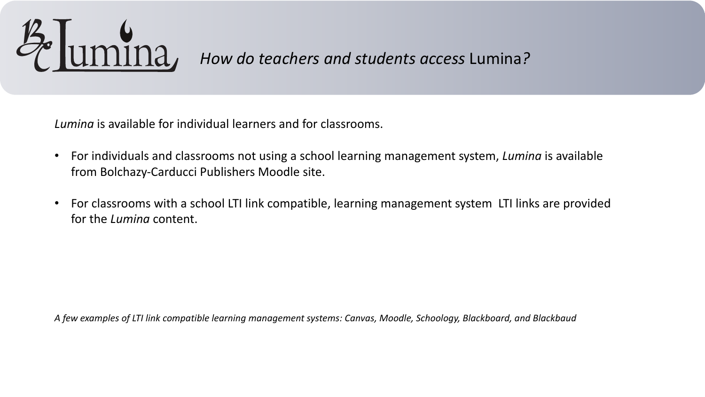

*Lumina* is available for individual learners and for classrooms.

- For individuals and classrooms not using a school learning management system, *Lumina* is available from Bolchazy-Carducci Publishers Moodle site.
- For classrooms with a school LTI link compatible, learning management system LTI links are provided for the *Lumina* content.

*A few examples of LTI link compatible learning management systems: Canvas, Moodle, Schoology, Blackboard, and Blackbaud*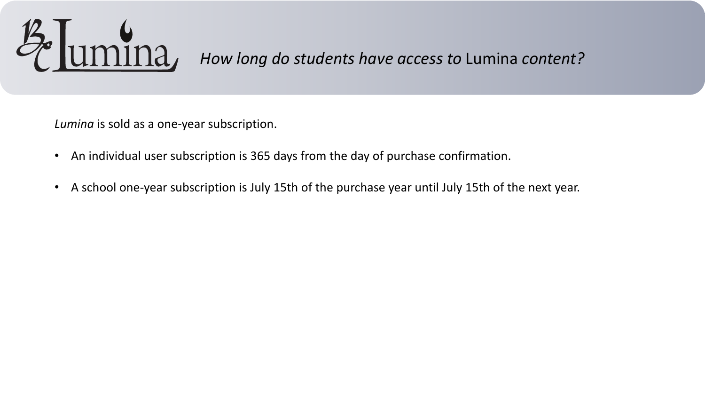

*Lumina* is sold as a one-year subscription.

- An individual user subscription is 365 days from the day of purchase confirmation.
- A school one-year subscription is July 15th of the purchase year until July 15th of the next year.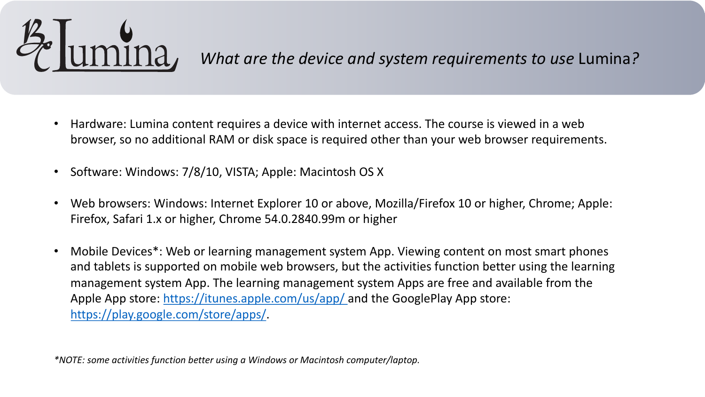

- [Hardware: Lumina content requires a](https://play.google.com/store/apps/) [device with int](https://itunes.apple.com/us/app/)ernet access. The browser, so no additional RAM or disk space is required other than you
- Software: Windows: 7/8/10, VISTA; Apple: Macintosh OS X
- Web browsers: Windows: Internet Explorer 10 or above, Mozilla/Firefo Firefox, Safari 1.x or higher, Chrome 54.0.2840.99m or higher
- Mobile Devices\*: Web or learning management system App. Viewing c and tablets is supported on mobile web browsers, but the activities fur management system App. The learning management system Apps are free and available from the from the from the f Apple App store: https://itunes.apple.com/us/app/ and the GooglePlay https://play.google.com/store/apps/.

*\*NOTE: some activities function better using a Windows or Macintosh computer/laptop.*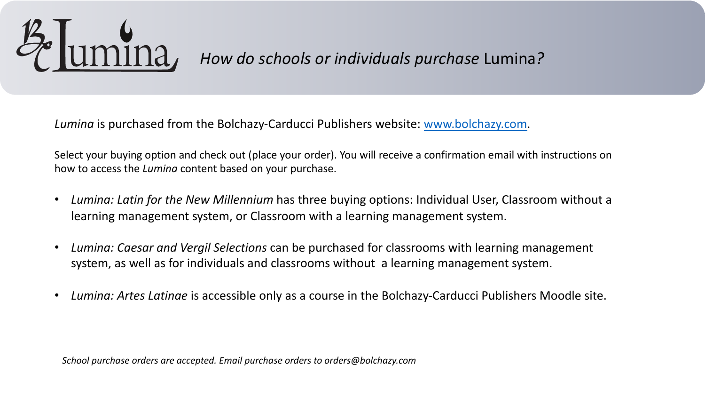

*Lumina* is purchased from the Bolchazy-Carducci Publishers website: www.

Select your buying option and check out (place your order). You will receive a confirmation email with instruction how to access the *Lumina* content based on your purchase.

- *Lumina: Latin for the New Millennium* has three buying options: Individ learning management system, or Classroom with a learning management
- *Lumina: Caesar and Vergil Selections* can be purchased for classrooms with learning management of learning management of the learning management of learning management of the learning management of learning management o system, as well as for individuals and classrooms without a learning management
- *Lumina: Artes Latinae* is accessible only as a course in the Bolchazy-Car

*School purchase orders are accepted. Email purchase orders to orders@bolchazy.com*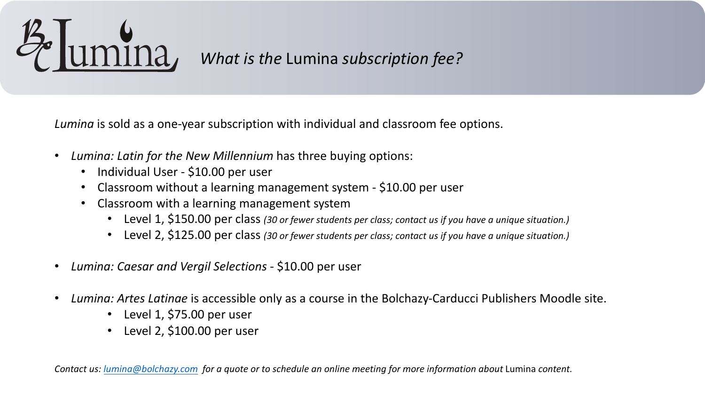

*Lumina* is sold as a one-year subscription with individual and classroom fe

- *Lumina: Latin for the New Millennium* has three buying options:
	- Individual User \$10.00 per user
	- [Classroom without](mailto:lumina@bolchazy.com) a learning management system \$10.00 per use
	- Classroom with a learning management system
		- Level 1, \$150.00 per class *(30 or fewer students per class; contact us if*
		- Level 2, \$125.00 per class *(30 or fewer students per class; contact us if*
- *Lumina: Caesar and Vergil Selections*  \$10.00 per user
- *Lumina: Artes Latinae* is accessible only as a course in the Bolchazy-Car
	- Level 1, \$75.00 per user
	- Level 2, \$100.00 per user

*Contact us: lumina@bolchazy.com for a quote or to schedule an online meeting for more information about 20*